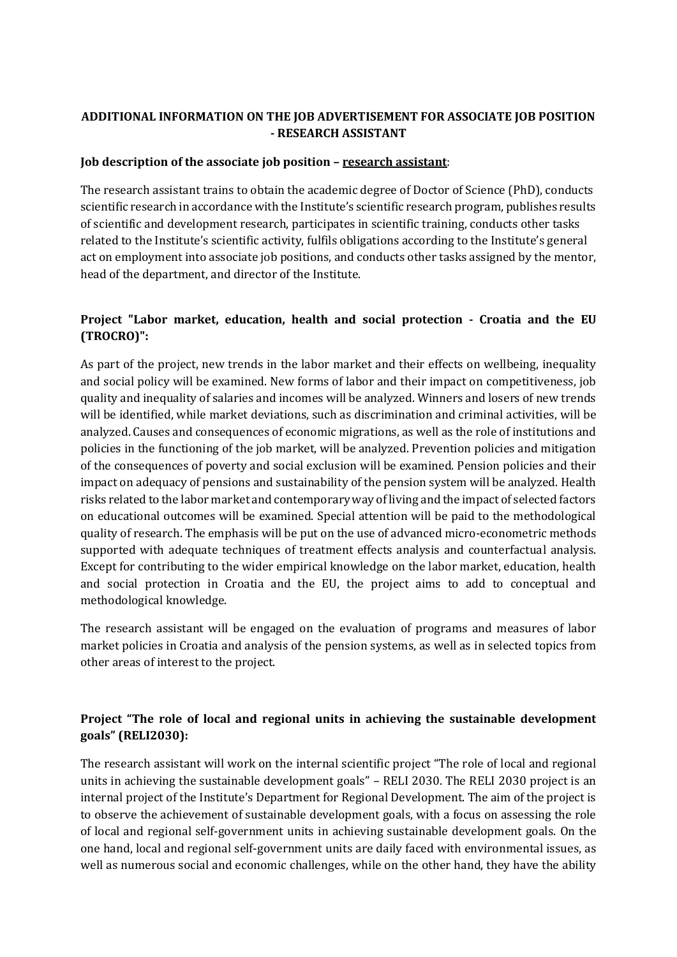# **ADDITIONAL INFORMATION ON THE JOB ADVERTISEMENT FOR ASSOCIATE JOB POSITION - RESEARCH ASSISTANT**

#### **Job description of the associate job position – research assistant**:

The research assistant trains to obtain the academic degree of Doctor of Science (PhD), conducts scientific research in accordance with the Institute's scientific research program, publishes results of scientific and development research, participates in scientific training, conducts other tasks related to the Institute's scientific activity, fulfils obligations according to the Institute's general act on employment into associate job positions, and conducts other tasks assigned by the mentor, head of the department, and director of the Institute.

## **Project "Labor market, education, health and social protection - Croatia and the EU (TROCRO)":**

As part of the project, new trends in the labor market and their effects on wellbeing, inequality and social policy will be examined. New forms of labor and their impact on competitiveness, job quality and inequality of salaries and incomes will be analyzed. Winners and losers of new trends will be identified, while market deviations, such as discrimination and criminal activities, will be analyzed. Causes and consequences of economic migrations, as well as the role of institutions and policies in the functioning of the job market, will be analyzed. Prevention policies and mitigation of the consequences of poverty and social exclusion will be examined. Pension policies and their impact on adequacy of pensions and sustainability of the pension system will be analyzed. Health risks related to the labor market and contemporary way of living and the impact of selected factors on educational outcomes will be examined. Special attention will be paid to the methodological quality of research. The emphasis will be put on the use of advanced micro-econometric methods supported with adequate techniques of treatment effects analysis and counterfactual analysis. Except for contributing to the wider empirical knowledge on the labor market, education, health and social protection in Croatia and the EU, the project aims to add to conceptual and methodological knowledge.

The research assistant will be engaged on the evaluation of programs and measures of labor market policies in Croatia and analysis of the pension systems, as well as in selected topics from other areas of interest to the project.

# **Project "The role of local and regional units in achieving the sustainable development goals" (RELI2030):**

The research assistant will work on the internal scientific project "The role of local and regional units in achieving the sustainable development goals" – RELI 2030. The RELI 2030 project is an internal project of the Institute's Department for Regional Development. The aim of the project is to observe the achievement of sustainable development goals, with a focus on assessing the role of local and regional self-government units in achieving sustainable development goals. On the one hand, local and regional self-government units are daily faced with environmental issues, as well as numerous social and economic challenges, while on the other hand, they have the ability